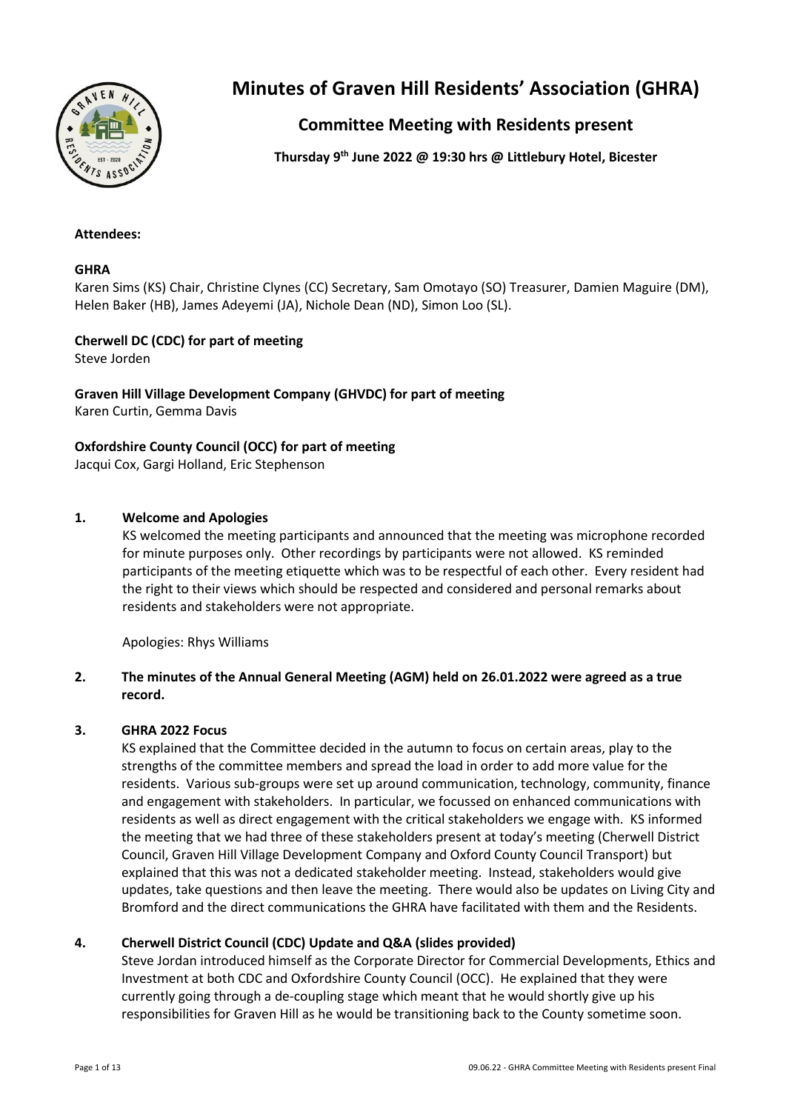

# **Minutes of Graven Hill Residents' Association (GHRA)**

# **Committee Meeting with Residents present**

**Thursday 9 th June 2022 @ 19:30 hrs @ Littlebury Hotel, Bicester**

# **Attendees:**

# **GHRA**

Karen Sims (KS) Chair, Christine Clynes (CC) Secretary, Sam Omotayo (SO) Treasurer, Damien Maguire (DM), Helen Baker (HB), James Adeyemi (JA), Nichole Dean (ND), Simon Loo (SL).

# **Cherwell DC (CDC) for part of meeting**

Steve Jorden

**Graven Hill Village Development Company (GHVDC) for part of meeting** Karen Curtin, Gemma Davis

# **Oxfordshire County Council (OCC) for part of meeting**

Jacqui Cox, Gargi Holland, Eric Stephenson

# **1. Welcome and Apologies**

KS welcomed the meeting participants and announced that the meeting was microphone recorded for minute purposes only. Other recordings by participants were not allowed. KS reminded participants of the meeting etiquette which was to be respectful of each other. Every resident had the right to their views which should be respected and considered and personal remarks about residents and stakeholders were not appropriate.

Apologies: Rhys Williams

# **2. The minutes of the Annual General Meeting (AGM) held on 26.01.2022 were agreed as a true record.**

### **3. GHRA 2022 Focus**

KS explained that the Committee decided in the autumn to focus on certain areas, play to the strengths of the committee members and spread the load in order to add more value for the residents. Various sub-groups were set up around communication, technology, community, finance and engagement with stakeholders. In particular, we focussed on enhanced communications with residents as well as direct engagement with the critical stakeholders we engage with. KS informed the meeting that we had three of these stakeholders present at today's meeting (Cherwell District Council, Graven Hill Village Development Company and Oxford County Council Transport) but explained that this was not a dedicated stakeholder meeting. Instead, stakeholders would give updates, take questions and then leave the meeting. There would also be updates on Living City and Bromford and the direct communications the GHRA have facilitated with them and the Residents.

# **4. Cherwell District Council (CDC) Update and Q&A (slides provided)**

Steve Jordan introduced himself as the Corporate Director for Commercial Developments, Ethics and Investment at both CDC and Oxfordshire County Council (OCC). He explained that they were currently going through a de-coupling stage which meant that he would shortly give up his responsibilities for Graven Hill as he would be transitioning back to the County sometime soon.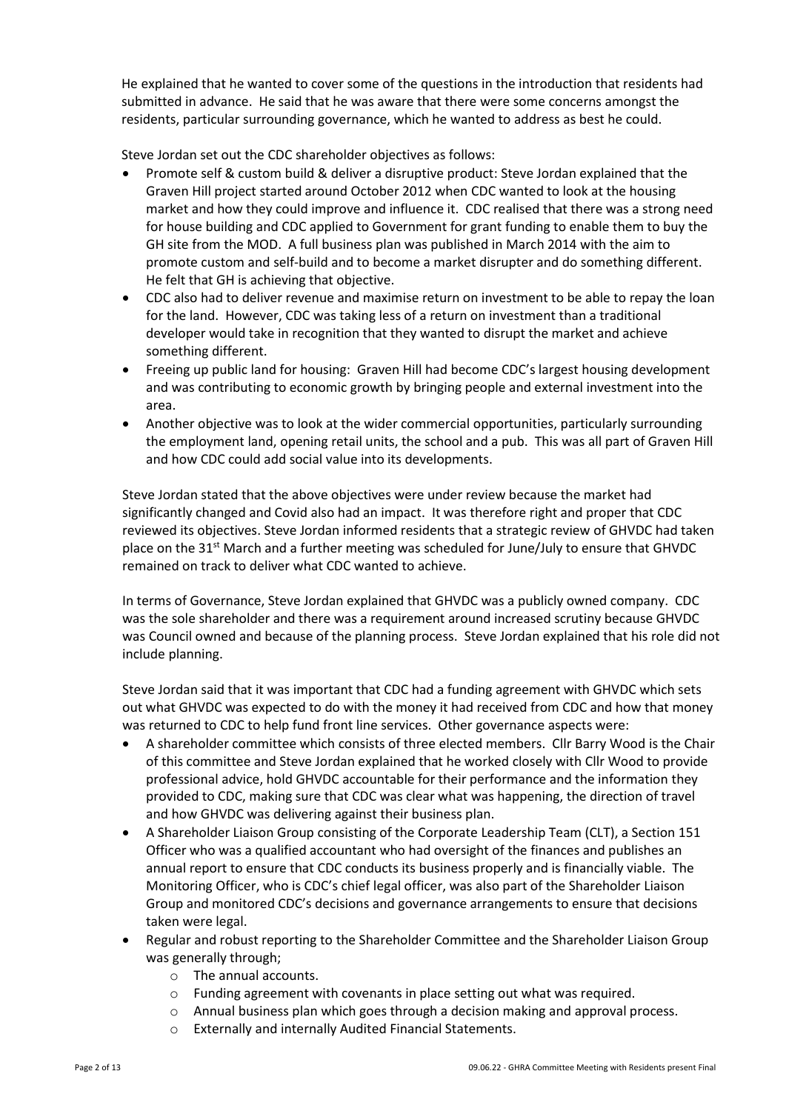He explained that he wanted to cover some of the questions in the introduction that residents had submitted in advance. He said that he was aware that there were some concerns amongst the residents, particular surrounding governance, which he wanted to address as best he could.

Steve Jordan set out the CDC shareholder objectives as follows:

- Promote self & custom build & deliver a disruptive product: Steve Jordan explained that the Graven Hill project started around October 2012 when CDC wanted to look at the housing market and how they could improve and influence it. CDC realised that there was a strong need for house building and CDC applied to Government for grant funding to enable them to buy the GH site from the MOD. A full business plan was published in March 2014 with the aim to promote custom and self-build and to become a market disrupter and do something different. He felt that GH is achieving that objective.
- CDC also had to deliver revenue and maximise return on investment to be able to repay the loan for the land. However, CDC was taking less of a return on investment than a traditional developer would take in recognition that they wanted to disrupt the market and achieve something different.
- Freeing up public land for housing: Graven Hill had become CDC's largest housing development and was contributing to economic growth by bringing people and external investment into the area.
- Another objective was to look at the wider commercial opportunities, particularly surrounding the employment land, opening retail units, the school and a pub. This was all part of Graven Hill and how CDC could add social value into its developments.

Steve Jordan stated that the above objectives were under review because the market had significantly changed and Covid also had an impact. It was therefore right and proper that CDC reviewed its objectives. Steve Jordan informed residents that a strategic review of GHVDC had taken place on the  $31^{st}$  March and a further meeting was scheduled for June/July to ensure that GHVDC remained on track to deliver what CDC wanted to achieve.

In terms of Governance, Steve Jordan explained that GHVDC was a publicly owned company. CDC was the sole shareholder and there was a requirement around increased scrutiny because GHVDC was Council owned and because of the planning process. Steve Jordan explained that his role did not include planning.

Steve Jordan said that it was important that CDC had a funding agreement with GHVDC which sets out what GHVDC was expected to do with the money it had received from CDC and how that money was returned to CDC to help fund front line services. Other governance aspects were:

- A shareholder committee which consists of three elected members. Cllr Barry Wood is the Chair of this committee and Steve Jordan explained that he worked closely with Cllr Wood to provide professional advice, hold GHVDC accountable for their performance and the information they provided to CDC, making sure that CDC was clear what was happening, the direction of travel and how GHVDC was delivering against their business plan.
- A Shareholder Liaison Group consisting of the Corporate Leadership Team (CLT), a Section 151 Officer who was a qualified accountant who had oversight of the finances and publishes an annual report to ensure that CDC conducts its business properly and is financially viable. The Monitoring Officer, who is CDC's chief legal officer, was also part of the Shareholder Liaison Group and monitored CDC's decisions and governance arrangements to ensure that decisions taken were legal.
- Regular and robust reporting to the Shareholder Committee and the Shareholder Liaison Group was generally through;
	- o The annual accounts.
	- o Funding agreement with covenants in place setting out what was required.
	- o Annual business plan which goes through a decision making and approval process.
	- o Externally and internally Audited Financial Statements.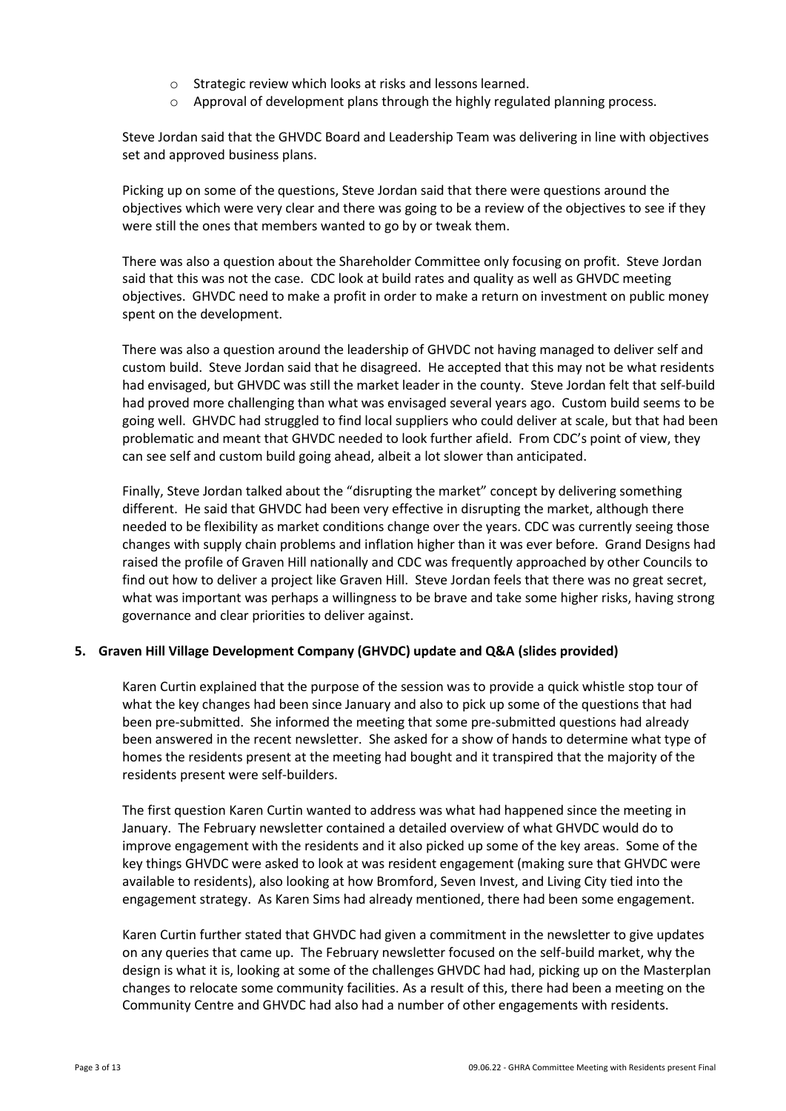- o Strategic review which looks at risks and lessons learned.
- o Approval of development plans through the highly regulated planning process.

Steve Jordan said that the GHVDC Board and Leadership Team was delivering in line with objectives set and approved business plans.

Picking up on some of the questions, Steve Jordan said that there were questions around the objectives which were very clear and there was going to be a review of the objectives to see if they were still the ones that members wanted to go by or tweak them.

There was also a question about the Shareholder Committee only focusing on profit. Steve Jordan said that this was not the case. CDC look at build rates and quality as well as GHVDC meeting objectives. GHVDC need to make a profit in order to make a return on investment on public money spent on the development.

There was also a question around the leadership of GHVDC not having managed to deliver self and custom build. Steve Jordan said that he disagreed. He accepted that this may not be what residents had envisaged, but GHVDC was still the market leader in the county. Steve Jordan felt that self-build had proved more challenging than what was envisaged several years ago. Custom build seems to be going well. GHVDC had struggled to find local suppliers who could deliver at scale, but that had been problematic and meant that GHVDC needed to look further afield. From CDC's point of view, they can see self and custom build going ahead, albeit a lot slower than anticipated.

Finally, Steve Jordan talked about the "disrupting the market" concept by delivering something different. He said that GHVDC had been very effective in disrupting the market, although there needed to be flexibility as market conditions change over the years. CDC was currently seeing those changes with supply chain problems and inflation higher than it was ever before. Grand Designs had raised the profile of Graven Hill nationally and CDC was frequently approached by other Councils to find out how to deliver a project like Graven Hill. Steve Jordan feels that there was no great secret, what was important was perhaps a willingness to be brave and take some higher risks, having strong governance and clear priorities to deliver against.

### **5. Graven Hill Village Development Company (GHVDC) update and Q&A (slides provided)**

Karen Curtin explained that the purpose of the session was to provide a quick whistle stop tour of what the key changes had been since January and also to pick up some of the questions that had been pre-submitted. She informed the meeting that some pre-submitted questions had already been answered in the recent newsletter. She asked for a show of hands to determine what type of homes the residents present at the meeting had bought and it transpired that the majority of the residents present were self-builders.

The first question Karen Curtin wanted to address was what had happened since the meeting in January. The February newsletter contained a detailed overview of what GHVDC would do to improve engagement with the residents and it also picked up some of the key areas. Some of the key things GHVDC were asked to look at was resident engagement (making sure that GHVDC were available to residents), also looking at how Bromford, Seven Invest, and Living City tied into the engagement strategy. As Karen Sims had already mentioned, there had been some engagement.

Karen Curtin further stated that GHVDC had given a commitment in the newsletter to give updates on any queries that came up. The February newsletter focused on the self-build market, why the design is what it is, looking at some of the challenges GHVDC had had, picking up on the Masterplan changes to relocate some community facilities. As a result of this, there had been a meeting on the Community Centre and GHVDC had also had a number of other engagements with residents.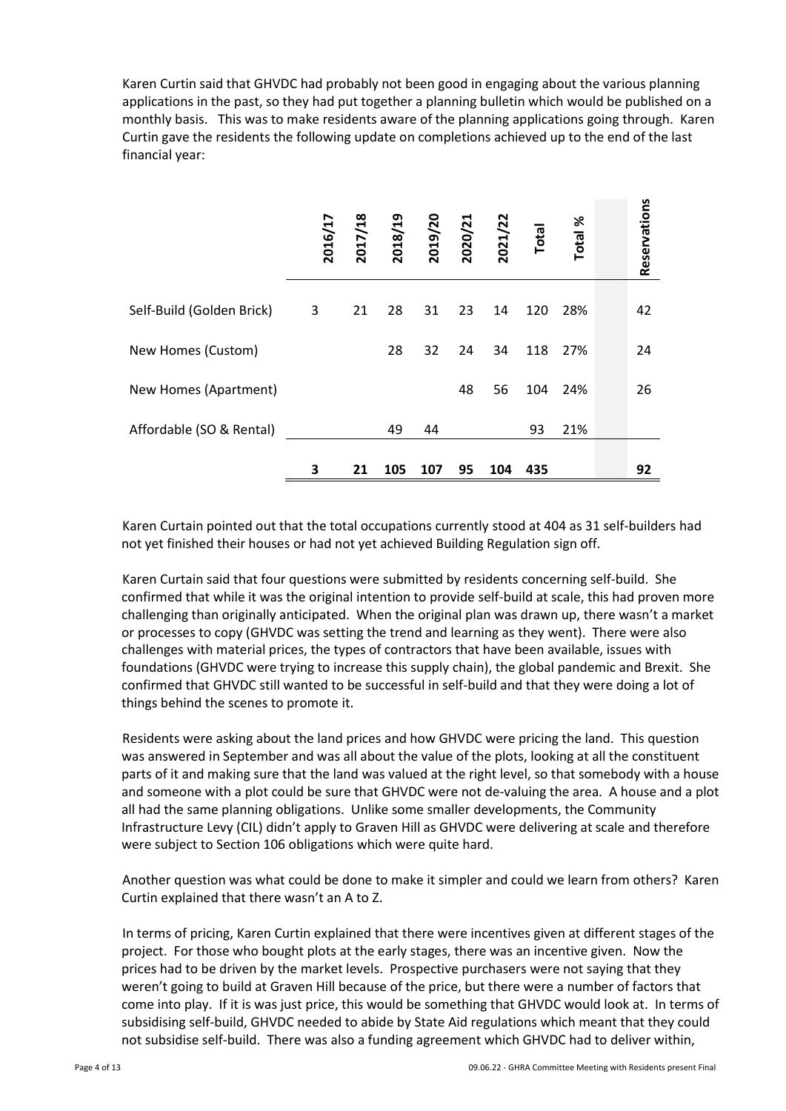Karen Curtin said that GHVDC had probably not been good in engaging about the various planning applications in the past, so they had put together a planning bulletin which would be published on a monthly basis. This was to make residents aware of the planning applications going through. Karen Curtin gave the residents the following update on completions achieved up to the end of the last financial year:

|                           | 2016/17 | 2017/18 | 2018/19 | 2019/20 | 2020/21 | 2021/22 | <b>Total</b> | Total % | Reservations |
|---------------------------|---------|---------|---------|---------|---------|---------|--------------|---------|--------------|
| Self-Build (Golden Brick) | 3       | 21      | 28      | 31      | 23      | 14      | 120          | 28%     | 42           |
| New Homes (Custom)        |         |         | 28      | 32      | 24      | 34      | 118          | 27%     | 24           |
| New Homes (Apartment)     |         |         |         |         | 48      | 56      | 104          | 24%     | 26           |
| Affordable (SO & Rental)  |         |         | 49      | 44      |         |         | 93           | 21%     |              |
|                           | 3       | 21      | 105     | 107     | 95      | 104     | 435          |         | 92           |

Karen Curtain pointed out that the total occupations currently stood at 404 as 31 self-builders had not yet finished their houses or had not yet achieved Building Regulation sign off.

Karen Curtain said that four questions were submitted by residents concerning self-build. She confirmed that while it was the original intention to provide self-build at scale, this had proven more challenging than originally anticipated. When the original plan was drawn up, there wasn't a market or processes to copy (GHVDC was setting the trend and learning as they went). There were also challenges with material prices, the types of contractors that have been available, issues with foundations (GHVDC were trying to increase this supply chain), the global pandemic and Brexit. She confirmed that GHVDC still wanted to be successful in self-build and that they were doing a lot of things behind the scenes to promote it.

Residents were asking about the land prices and how GHVDC were pricing the land. This question was answered in September and was all about the value of the plots, looking at all the constituent parts of it and making sure that the land was valued at the right level, so that somebody with a house and someone with a plot could be sure that GHVDC were not de-valuing the area. A house and a plot all had the same planning obligations. Unlike some smaller developments, the Community Infrastructure Levy (CIL) didn't apply to Graven Hill as GHVDC were delivering at scale and therefore were subject to Section 106 obligations which were quite hard.

Another question was what could be done to make it simpler and could we learn from others? Karen Curtin explained that there wasn't an A to Z.

In terms of pricing, Karen Curtin explained that there were incentives given at different stages of the project. For those who bought plots at the early stages, there was an incentive given. Now the prices had to be driven by the market levels. Prospective purchasers were not saying that they weren't going to build at Graven Hill because of the price, but there were a number of factors that come into play. If it is was just price, this would be something that GHVDC would look at. In terms of subsidising self-build, GHVDC needed to abide by State Aid regulations which meant that they could not subsidise self-build. There was also a funding agreement which GHVDC had to deliver within,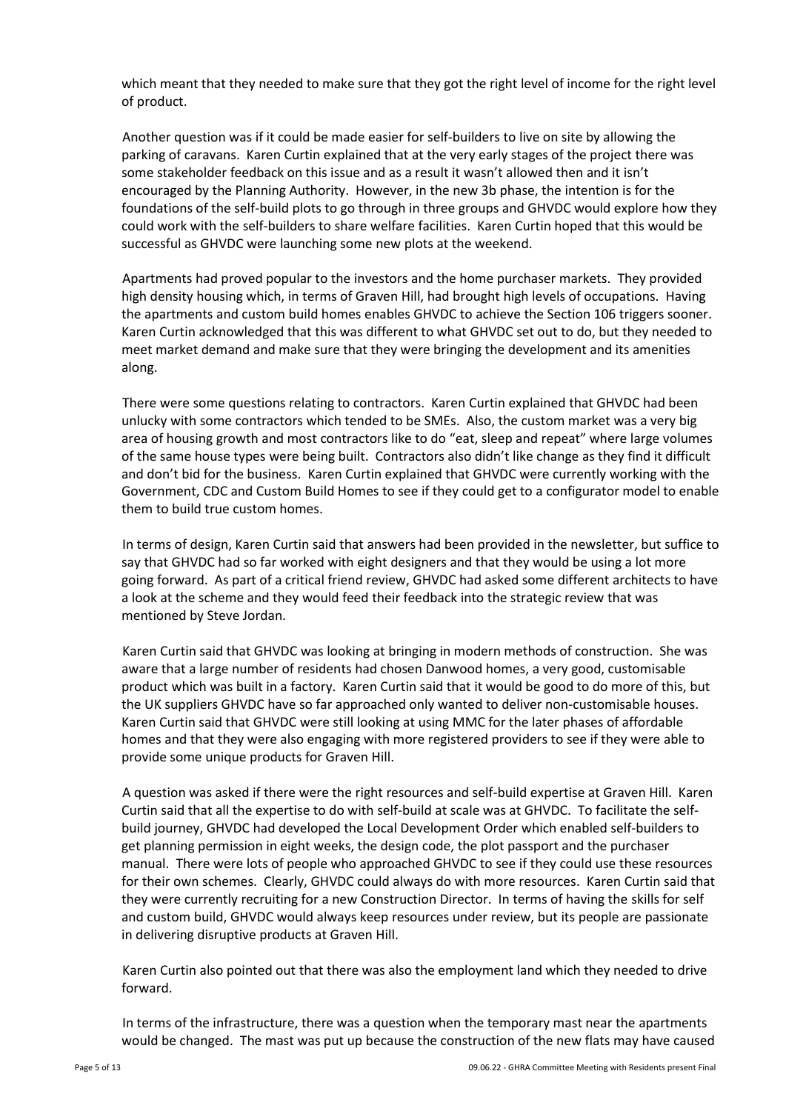which meant that they needed to make sure that they got the right level of income for the right level of product.

Another question was if it could be made easier for self-builders to live on site by allowing the parking of caravans. Karen Curtin explained that at the very early stages of the project there was some stakeholder feedback on this issue and as a result it wasn't allowed then and it isn't encouraged by the Planning Authority. However, in the new 3b phase, the intention is for the foundations of the self-build plots to go through in three groups and GHVDC would explore how they could work with the self-builders to share welfare facilities. Karen Curtin hoped that this would be successful as GHVDC were launching some new plots at the weekend.

Apartments had proved popular to the investors and the home purchaser markets. They provided high density housing which, in terms of Graven Hill, had brought high levels of occupations. Having the apartments and custom build homes enables GHVDC to achieve the Section 106 triggers sooner. Karen Curtin acknowledged that this was different to what GHVDC set out to do, but they needed to meet market demand and make sure that they were bringing the development and its amenities along.

There were some questions relating to contractors. Karen Curtin explained that GHVDC had been unlucky with some contractors which tended to be SMEs. Also, the custom market was a very big area of housing growth and most contractors like to do "eat, sleep and repeat" where large volumes of the same house types were being built. Contractors also didn't like change as they find it difficult and don't bid for the business. Karen Curtin explained that GHVDC were currently working with the Government, CDC and Custom Build Homes to see if they could get to a configurator model to enable them to build true custom homes.

In terms of design, Karen Curtin said that answers had been provided in the newsletter, but suffice to say that GHVDC had so far worked with eight designers and that they would be using a lot more going forward. As part of a critical friend review, GHVDC had asked some different architects to have a look at the scheme and they would feed their feedback into the strategic review that was mentioned by Steve Jordan.

Karen Curtin said that GHVDC was looking at bringing in modern methods of construction. She was aware that a large number of residents had chosen Danwood homes, a very good, customisable product which was built in a factory. Karen Curtin said that it would be good to do more of this, but the UK suppliers GHVDC have so far approached only wanted to deliver non-customisable houses. Karen Curtin said that GHVDC were still looking at using MMC for the later phases of affordable homes and that they were also engaging with more registered providers to see if they were able to provide some unique products for Graven Hill.

A question was asked if there were the right resources and self-build expertise at Graven Hill. Karen Curtin said that all the expertise to do with self-build at scale was at GHVDC. To facilitate the selfbuild journey, GHVDC had developed the Local Development Order which enabled self-builders to get planning permission in eight weeks, the design code, the plot passport and the purchaser manual. There were lots of people who approached GHVDC to see if they could use these resources for their own schemes. Clearly, GHVDC could always do with more resources. Karen Curtin said that they were currently recruiting for a new Construction Director. In terms of having the skills for self and custom build, GHVDC would always keep resources under review, but its people are passionate in delivering disruptive products at Graven Hill.

Karen Curtin also pointed out that there was also the employment land which they needed to drive forward.

In terms of the infrastructure, there was a question when the temporary mast near the apartments would be changed. The mast was put up because the construction of the new flats may have caused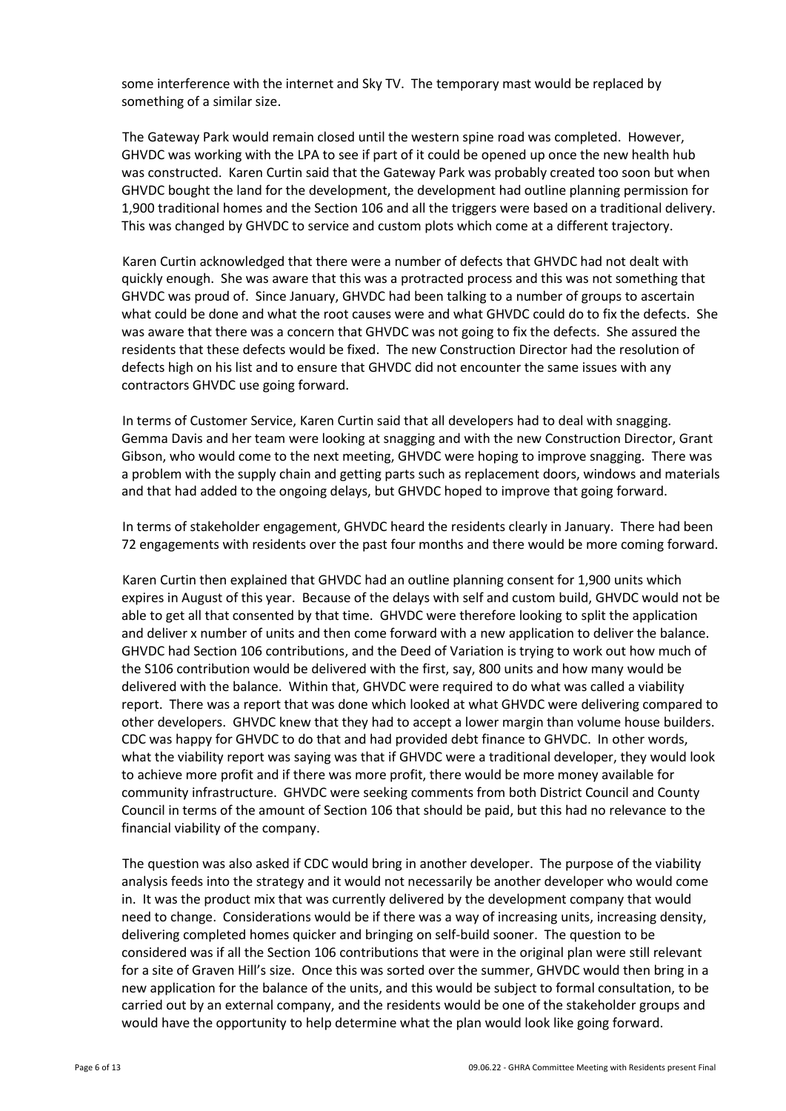some interference with the internet and Sky TV. The temporary mast would be replaced by something of a similar size.

The Gateway Park would remain closed until the western spine road was completed. However, GHVDC was working with the LPA to see if part of it could be opened up once the new health hub was constructed. Karen Curtin said that the Gateway Park was probably created too soon but when GHVDC bought the land for the development, the development had outline planning permission for 1,900 traditional homes and the Section 106 and all the triggers were based on a traditional delivery. This was changed by GHVDC to service and custom plots which come at a different trajectory.

Karen Curtin acknowledged that there were a number of defects that GHVDC had not dealt with quickly enough. She was aware that this was a protracted process and this was not something that GHVDC was proud of. Since January, GHVDC had been talking to a number of groups to ascertain what could be done and what the root causes were and what GHVDC could do to fix the defects. She was aware that there was a concern that GHVDC was not going to fix the defects. She assured the residents that these defects would be fixed. The new Construction Director had the resolution of defects high on his list and to ensure that GHVDC did not encounter the same issues with any contractors GHVDC use going forward.

In terms of Customer Service, Karen Curtin said that all developers had to deal with snagging. Gemma Davis and her team were looking at snagging and with the new Construction Director, Grant Gibson, who would come to the next meeting, GHVDC were hoping to improve snagging. There was a problem with the supply chain and getting parts such as replacement doors, windows and materials and that had added to the ongoing delays, but GHVDC hoped to improve that going forward.

In terms of stakeholder engagement, GHVDC heard the residents clearly in January. There had been 72 engagements with residents over the past four months and there would be more coming forward.

Karen Curtin then explained that GHVDC had an outline planning consent for 1,900 units which expires in August of this year. Because of the delays with self and custom build, GHVDC would not be able to get all that consented by that time. GHVDC were therefore looking to split the application and deliver x number of units and then come forward with a new application to deliver the balance. GHVDC had Section 106 contributions, and the Deed of Variation is trying to work out how much of the S106 contribution would be delivered with the first, say, 800 units and how many would be delivered with the balance. Within that, GHVDC were required to do what was called a viability report. There was a report that was done which looked at what GHVDC were delivering compared to other developers. GHVDC knew that they had to accept a lower margin than volume house builders. CDC was happy for GHVDC to do that and had provided debt finance to GHVDC. In other words, what the viability report was saying was that if GHVDC were a traditional developer, they would look to achieve more profit and if there was more profit, there would be more money available for community infrastructure. GHVDC were seeking comments from both District Council and County Council in terms of the amount of Section 106 that should be paid, but this had no relevance to the financial viability of the company.

The question was also asked if CDC would bring in another developer. The purpose of the viability analysis feeds into the strategy and it would not necessarily be another developer who would come in. It was the product mix that was currently delivered by the development company that would need to change. Considerations would be if there was a way of increasing units, increasing density, delivering completed homes quicker and bringing on self-build sooner. The question to be considered was if all the Section 106 contributions that were in the original plan were still relevant for a site of Graven Hill's size. Once this was sorted over the summer, GHVDC would then bring in a new application for the balance of the units, and this would be subject to formal consultation, to be carried out by an external company, and the residents would be one of the stakeholder groups and would have the opportunity to help determine what the plan would look like going forward.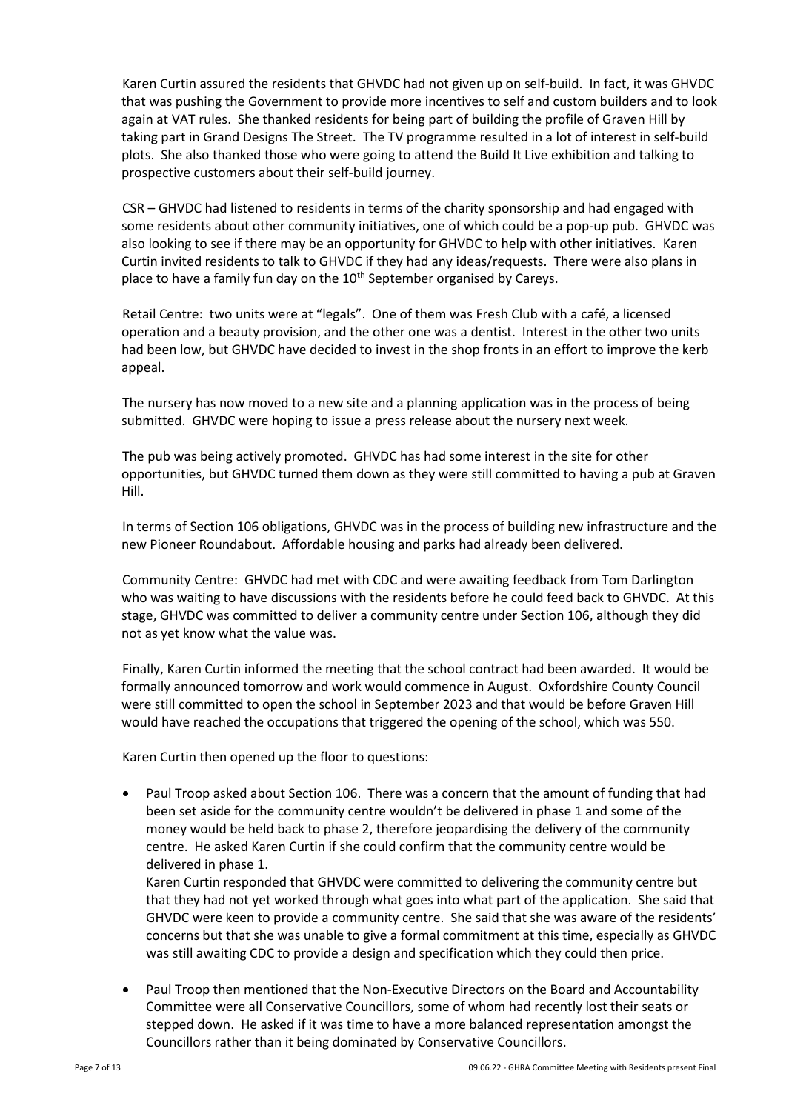Karen Curtin assured the residents that GHVDC had not given up on self-build. In fact, it was GHVDC that was pushing the Government to provide more incentives to self and custom builders and to look again at VAT rules. She thanked residents for being part of building the profile of Graven Hill by taking part in Grand Designs The Street. The TV programme resulted in a lot of interest in self-build plots. She also thanked those who were going to attend the Build It Live exhibition and talking to prospective customers about their self-build journey.

CSR – GHVDC had listened to residents in terms of the charity sponsorship and had engaged with some residents about other community initiatives, one of which could be a pop-up pub. GHVDC was also looking to see if there may be an opportunity for GHVDC to help with other initiatives. Karen Curtin invited residents to talk to GHVDC if they had any ideas/requests. There were also plans in place to have a family fun day on the 10<sup>th</sup> September organised by Careys.

Retail Centre: two units were at "legals". One of them was Fresh Club with a café, a licensed operation and a beauty provision, and the other one was a dentist. Interest in the other two units had been low, but GHVDC have decided to invest in the shop fronts in an effort to improve the kerb appeal.

The nursery has now moved to a new site and a planning application was in the process of being submitted. GHVDC were hoping to issue a press release about the nursery next week.

The pub was being actively promoted. GHVDC has had some interest in the site for other opportunities, but GHVDC turned them down as they were still committed to having a pub at Graven Hill.

In terms of Section 106 obligations, GHVDC was in the process of building new infrastructure and the new Pioneer Roundabout. Affordable housing and parks had already been delivered.

Community Centre: GHVDC had met with CDC and were awaiting feedback from Tom Darlington who was waiting to have discussions with the residents before he could feed back to GHVDC. At this stage, GHVDC was committed to deliver a community centre under Section 106, although they did not as yet know what the value was.

Finally, Karen Curtin informed the meeting that the school contract had been awarded. It would be formally announced tomorrow and work would commence in August. Oxfordshire County Council were still committed to open the school in September 2023 and that would be before Graven Hill would have reached the occupations that triggered the opening of the school, which was 550.

Karen Curtin then opened up the floor to questions:

• Paul Troop asked about Section 106. There was a concern that the amount of funding that had been set aside for the community centre wouldn't be delivered in phase 1 and some of the money would be held back to phase 2, therefore jeopardising the delivery of the community centre. He asked Karen Curtin if she could confirm that the community centre would be delivered in phase 1.

Karen Curtin responded that GHVDC were committed to delivering the community centre but that they had not yet worked through what goes into what part of the application. She said that GHVDC were keen to provide a community centre. She said that she was aware of the residents' concerns but that she was unable to give a formal commitment at this time, especially as GHVDC was still awaiting CDC to provide a design and specification which they could then price.

• Paul Troop then mentioned that the Non-Executive Directors on the Board and Accountability Committee were all Conservative Councillors, some of whom had recently lost their seats or stepped down. He asked if it was time to have a more balanced representation amongst the Councillors rather than it being dominated by Conservative Councillors.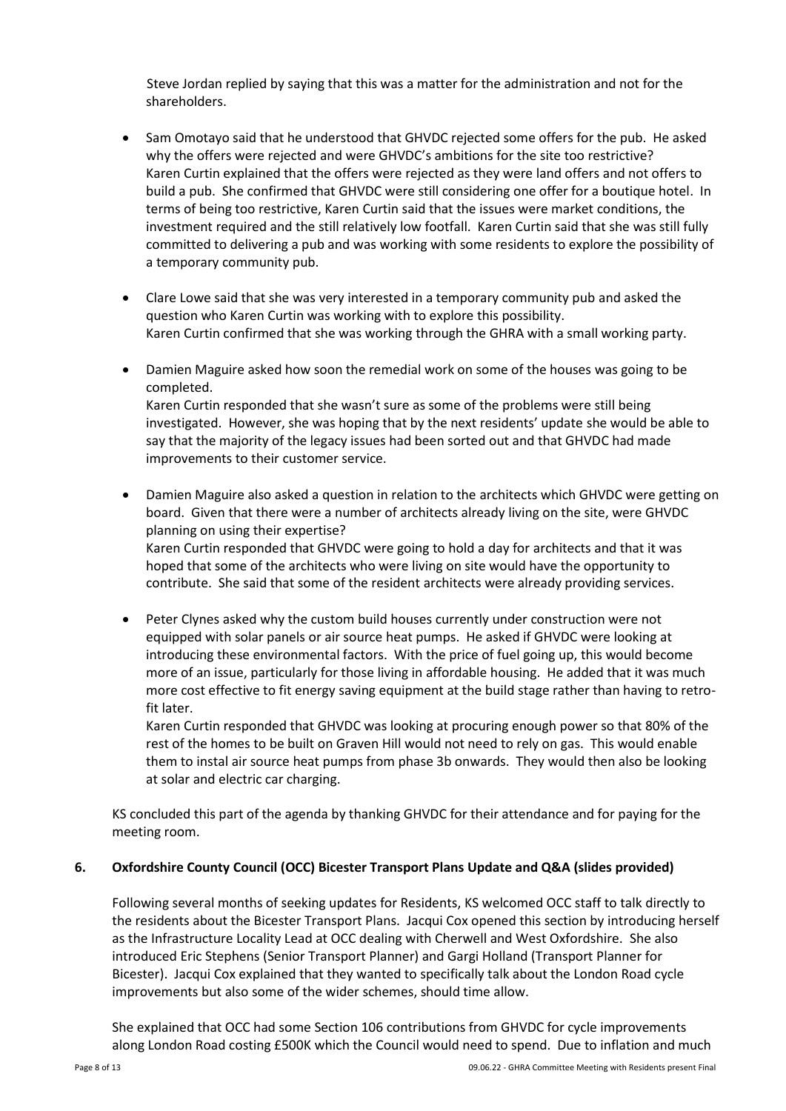Steve Jordan replied by saying that this was a matter for the administration and not for the shareholders.

- Sam Omotayo said that he understood that GHVDC rejected some offers for the pub. He asked why the offers were rejected and were GHVDC's ambitions for the site too restrictive? Karen Curtin explained that the offers were rejected as they were land offers and not offers to build a pub. She confirmed that GHVDC were still considering one offer for a boutique hotel. In terms of being too restrictive, Karen Curtin said that the issues were market conditions, the investment required and the still relatively low footfall. Karen Curtin said that she was still fully committed to delivering a pub and was working with some residents to explore the possibility of a temporary community pub.
- Clare Lowe said that she was very interested in a temporary community pub and asked the question who Karen Curtin was working with to explore this possibility. Karen Curtin confirmed that she was working through the GHRA with a small working party.
- Damien Maguire asked how soon the remedial work on some of the houses was going to be completed. Karen Curtin responded that she wasn't sure as some of the problems were still being investigated. However, she was hoping that by the next residents' update she would be able to say that the majority of the legacy issues had been sorted out and that GHVDC had made improvements to their customer service.
- Damien Maguire also asked a question in relation to the architects which GHVDC were getting on board. Given that there were a number of architects already living on the site, were GHVDC planning on using their expertise? Karen Curtin responded that GHVDC were going to hold a day for architects and that it was

hoped that some of the architects who were living on site would have the opportunity to contribute. She said that some of the resident architects were already providing services.

• Peter Clynes asked why the custom build houses currently under construction were not equipped with solar panels or air source heat pumps. He asked if GHVDC were looking at introducing these environmental factors. With the price of fuel going up, this would become more of an issue, particularly for those living in affordable housing. He added that it was much more cost effective to fit energy saving equipment at the build stage rather than having to retrofit later.

Karen Curtin responded that GHVDC was looking at procuring enough power so that 80% of the rest of the homes to be built on Graven Hill would not need to rely on gas. This would enable them to instal air source heat pumps from phase 3b onwards. They would then also be looking at solar and electric car charging.

KS concluded this part of the agenda by thanking GHVDC for their attendance and for paying for the meeting room.

### **6. Oxfordshire County Council (OCC) Bicester Transport Plans Update and Q&A (slides provided)**

Following several months of seeking updates for Residents, KS welcomed OCC staff to talk directly to the residents about the Bicester Transport Plans. Jacqui Cox opened this section by introducing herself as the Infrastructure Locality Lead at OCC dealing with Cherwell and West Oxfordshire. She also introduced Eric Stephens (Senior Transport Planner) and Gargi Holland (Transport Planner for Bicester). Jacqui Cox explained that they wanted to specifically talk about the London Road cycle improvements but also some of the wider schemes, should time allow.

She explained that OCC had some Section 106 contributions from GHVDC for cycle improvements along London Road costing £500K which the Council would need to spend. Due to inflation and much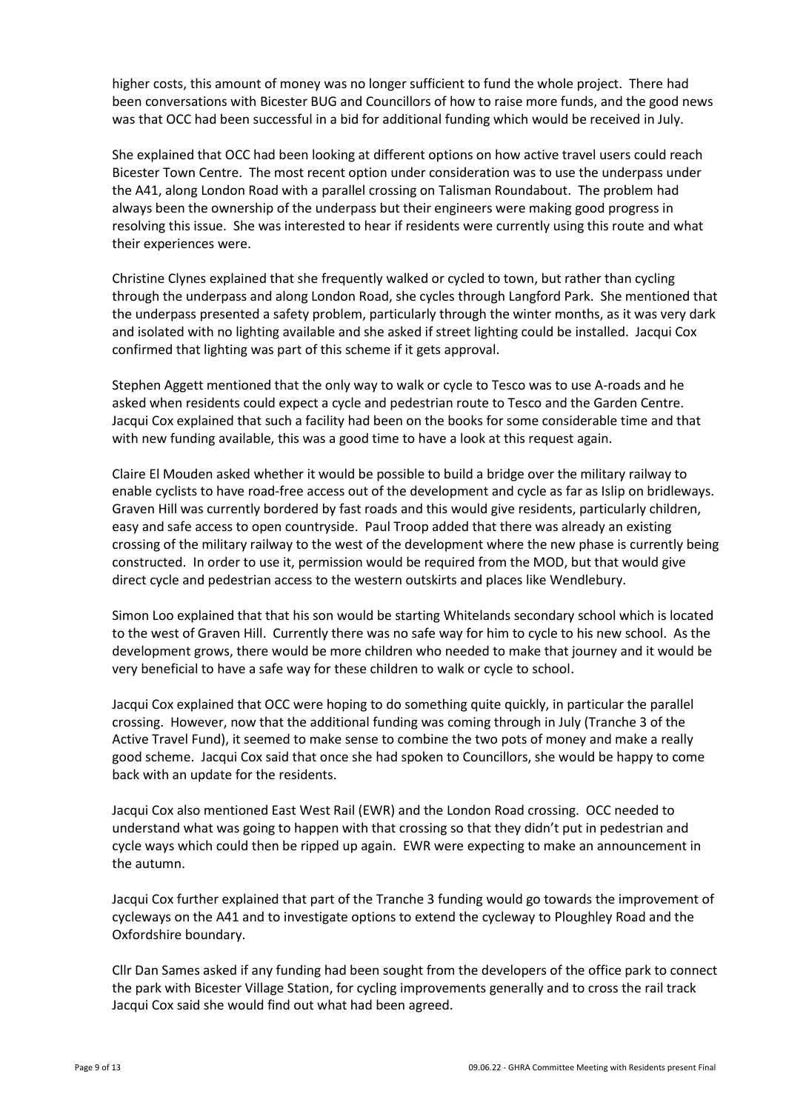higher costs, this amount of money was no longer sufficient to fund the whole project. There had been conversations with Bicester BUG and Councillors of how to raise more funds, and the good news was that OCC had been successful in a bid for additional funding which would be received in July.

She explained that OCC had been looking at different options on how active travel users could reach Bicester Town Centre. The most recent option under consideration was to use the underpass under the A41, along London Road with a parallel crossing on Talisman Roundabout. The problem had always been the ownership of the underpass but their engineers were making good progress in resolving this issue. She was interested to hear if residents were currently using this route and what their experiences were.

Christine Clynes explained that she frequently walked or cycled to town, but rather than cycling through the underpass and along London Road, she cycles through Langford Park. She mentioned that the underpass presented a safety problem, particularly through the winter months, as it was very dark and isolated with no lighting available and she asked if street lighting could be installed. Jacqui Cox confirmed that lighting was part of this scheme if it gets approval.

Stephen Aggett mentioned that the only way to walk or cycle to Tesco was to use A-roads and he asked when residents could expect a cycle and pedestrian route to Tesco and the Garden Centre. Jacqui Cox explained that such a facility had been on the books for some considerable time and that with new funding available, this was a good time to have a look at this request again.

Claire El Mouden asked whether it would be possible to build a bridge over the military railway to enable cyclists to have road-free access out of the development and cycle as far as Islip on bridleways. Graven Hill was currently bordered by fast roads and this would give residents, particularly children, easy and safe access to open countryside. Paul Troop added that there was already an existing crossing of the military railway to the west of the development where the new phase is currently being constructed. In order to use it, permission would be required from the MOD, but that would give direct cycle and pedestrian access to the western outskirts and places like Wendlebury.

Simon Loo explained that that his son would be starting Whitelands secondary school which is located to the west of Graven Hill. Currently there was no safe way for him to cycle to his new school. As the development grows, there would be more children who needed to make that journey and it would be very beneficial to have a safe way for these children to walk or cycle to school.

Jacqui Cox explained that OCC were hoping to do something quite quickly, in particular the parallel crossing. However, now that the additional funding was coming through in July (Tranche 3 of the Active Travel Fund), it seemed to make sense to combine the two pots of money and make a really good scheme. Jacqui Cox said that once she had spoken to Councillors, she would be happy to come back with an update for the residents.

Jacqui Cox also mentioned East West Rail (EWR) and the London Road crossing. OCC needed to understand what was going to happen with that crossing so that they didn't put in pedestrian and cycle ways which could then be ripped up again. EWR were expecting to make an announcement in the autumn.

Jacqui Cox further explained that part of the Tranche 3 funding would go towards the improvement of cycleways on the A41 and to investigate options to extend the cycleway to Ploughley Road and the Oxfordshire boundary.

Cllr Dan Sames asked if any funding had been sought from the developers of the office park to connect the park with Bicester Village Station, for cycling improvements generally and to cross the rail track Jacqui Cox said she would find out what had been agreed.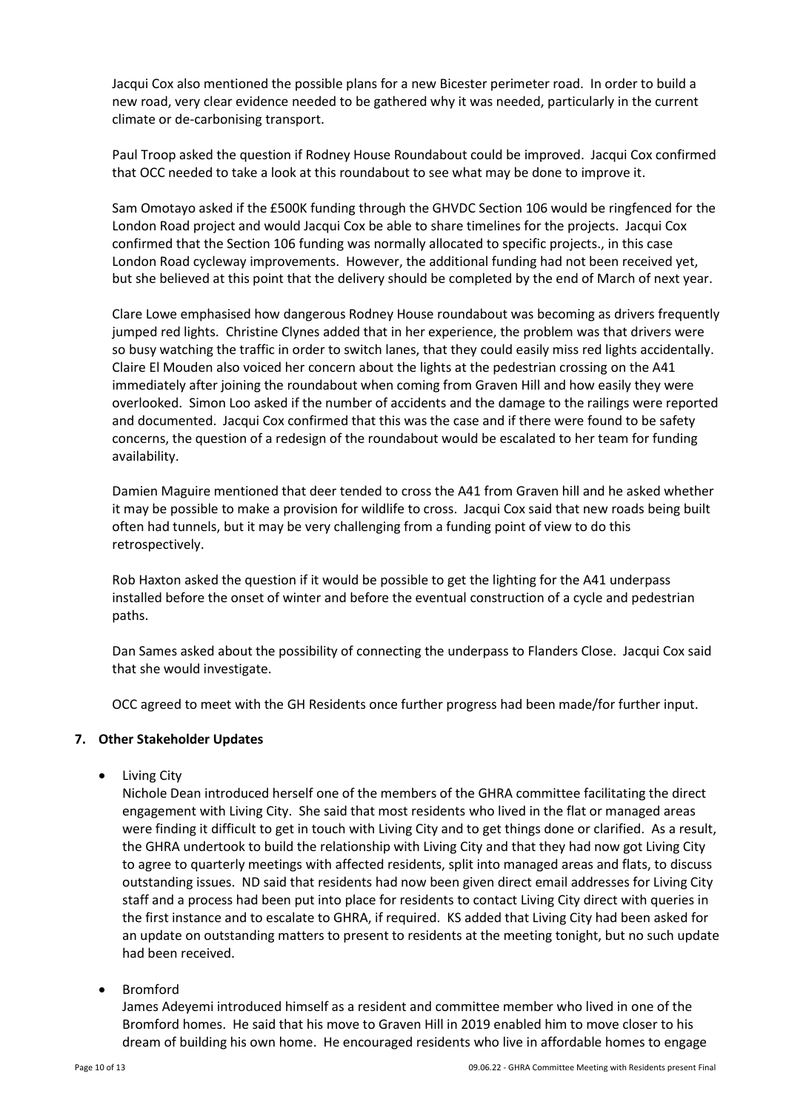Jacqui Cox also mentioned the possible plans for a new Bicester perimeter road. In order to build a new road, very clear evidence needed to be gathered why it was needed, particularly in the current climate or de-carbonising transport.

Paul Troop asked the question if Rodney House Roundabout could be improved. Jacqui Cox confirmed that OCC needed to take a look at this roundabout to see what may be done to improve it.

Sam Omotayo asked if the £500K funding through the GHVDC Section 106 would be ringfenced for the London Road project and would Jacqui Cox be able to share timelines for the projects. Jacqui Cox confirmed that the Section 106 funding was normally allocated to specific projects., in this case London Road cycleway improvements. However, the additional funding had not been received yet, but she believed at this point that the delivery should be completed by the end of March of next year.

Clare Lowe emphasised how dangerous Rodney House roundabout was becoming as drivers frequently jumped red lights. Christine Clynes added that in her experience, the problem was that drivers were so busy watching the traffic in order to switch lanes, that they could easily miss red lights accidentally. Claire El Mouden also voiced her concern about the lights at the pedestrian crossing on the A41 immediately after joining the roundabout when coming from Graven Hill and how easily they were overlooked. Simon Loo asked if the number of accidents and the damage to the railings were reported and documented. Jacqui Cox confirmed that this was the case and if there were found to be safety concerns, the question of a redesign of the roundabout would be escalated to her team for funding availability.

Damien Maguire mentioned that deer tended to cross the A41 from Graven hill and he asked whether it may be possible to make a provision for wildlife to cross. Jacqui Cox said that new roads being built often had tunnels, but it may be very challenging from a funding point of view to do this retrospectively.

Rob Haxton asked the question if it would be possible to get the lighting for the A41 underpass installed before the onset of winter and before the eventual construction of a cycle and pedestrian paths.

Dan Sames asked about the possibility of connecting the underpass to Flanders Close. Jacqui Cox said that she would investigate.

OCC agreed to meet with the GH Residents once further progress had been made/for further input.

### **7. Other Stakeholder Updates**

• Living City

Nichole Dean introduced herself one of the members of the GHRA committee facilitating the direct engagement with Living City. She said that most residents who lived in the flat or managed areas were finding it difficult to get in touch with Living City and to get things done or clarified. As a result, the GHRA undertook to build the relationship with Living City and that they had now got Living City to agree to quarterly meetings with affected residents, split into managed areas and flats, to discuss outstanding issues. ND said that residents had now been given direct email addresses for Living City staff and a process had been put into place for residents to contact Living City direct with queries in the first instance and to escalate to GHRA, if required. KS added that Living City had been asked for an update on outstanding matters to present to residents at the meeting tonight, but no such update had been received.

• Bromford

James Adeyemi introduced himself as a resident and committee member who lived in one of the Bromford homes. He said that his move to Graven Hill in 2019 enabled him to move closer to his dream of building his own home. He encouraged residents who live in affordable homes to engage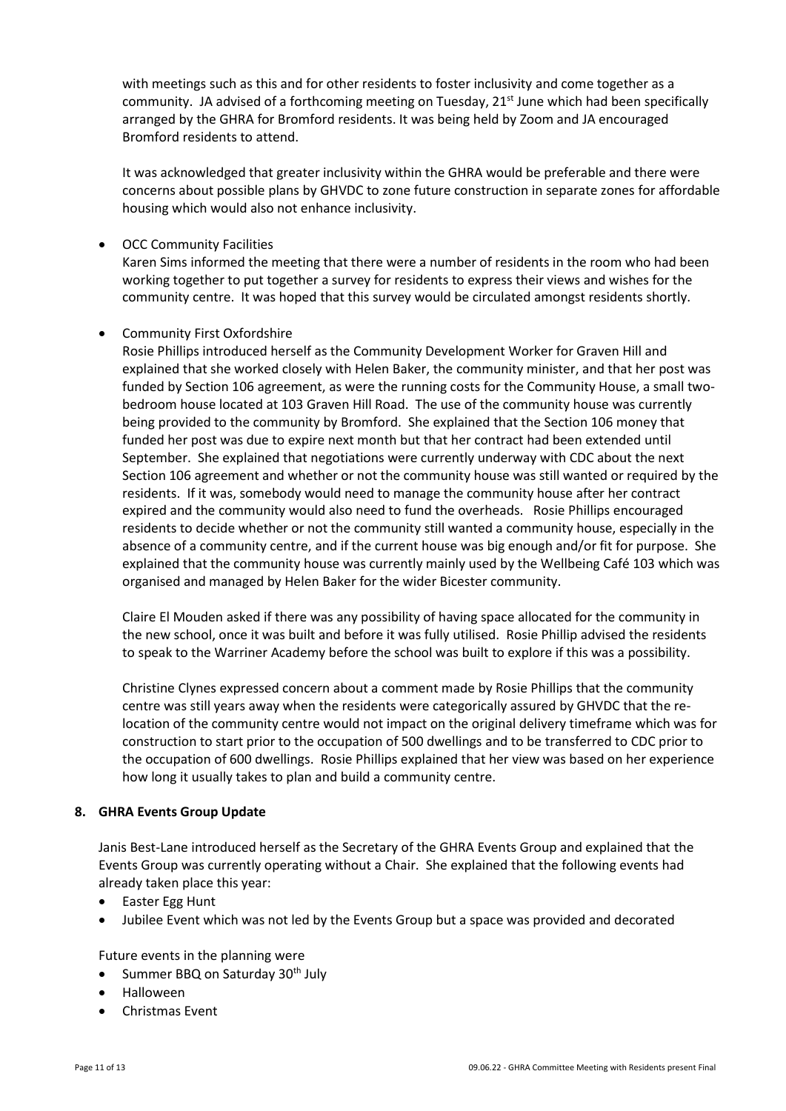with meetings such as this and for other residents to foster inclusivity and come together as a community. JA advised of a forthcoming meeting on Tuesday, 21<sup>st</sup> June which had been specifically arranged by the GHRA for Bromford residents. It was being held by Zoom and JA encouraged Bromford residents to attend.

It was acknowledged that greater inclusivity within the GHRA would be preferable and there were concerns about possible plans by GHVDC to zone future construction in separate zones for affordable housing which would also not enhance inclusivity.

# • OCC Community Facilities

Karen Sims informed the meeting that there were a number of residents in the room who had been working together to put together a survey for residents to express their views and wishes for the community centre. It was hoped that this survey would be circulated amongst residents shortly.

# • Community First Oxfordshire

Rosie Phillips introduced herself as the Community Development Worker for Graven Hill and explained that she worked closely with Helen Baker, the community minister, and that her post was funded by Section 106 agreement, as were the running costs for the Community House, a small twobedroom house located at 103 Graven Hill Road. The use of the community house was currently being provided to the community by Bromford. She explained that the Section 106 money that funded her post was due to expire next month but that her contract had been extended until September. She explained that negotiations were currently underway with CDC about the next Section 106 agreement and whether or not the community house was still wanted or required by the residents. If it was, somebody would need to manage the community house after her contract expired and the community would also need to fund the overheads. Rosie Phillips encouraged residents to decide whether or not the community still wanted a community house, especially in the absence of a community centre, and if the current house was big enough and/or fit for purpose. She explained that the community house was currently mainly used by the Wellbeing Café 103 which was organised and managed by Helen Baker for the wider Bicester community.

Claire El Mouden asked if there was any possibility of having space allocated for the community in the new school, once it was built and before it was fully utilised. Rosie Phillip advised the residents to speak to the Warriner Academy before the school was built to explore if this was a possibility.

Christine Clynes expressed concern about a comment made by Rosie Phillips that the community centre was still years away when the residents were categorically assured by GHVDC that the relocation of the community centre would not impact on the original delivery timeframe which was for construction to start prior to the occupation of 500 dwellings and to be transferred to CDC prior to the occupation of 600 dwellings. Rosie Phillips explained that her view was based on her experience how long it usually takes to plan and build a community centre.

### **8. GHRA Events Group Update**

Janis Best-Lane introduced herself as the Secretary of the GHRA Events Group and explained that the Events Group was currently operating without a Chair. She explained that the following events had already taken place this year:

- Easter Egg Hunt
- Jubilee Event which was not led by the Events Group but a space was provided and decorated

Future events in the planning were

- Summer BBQ on Saturday 30<sup>th</sup> July
- Halloween
- Christmas Event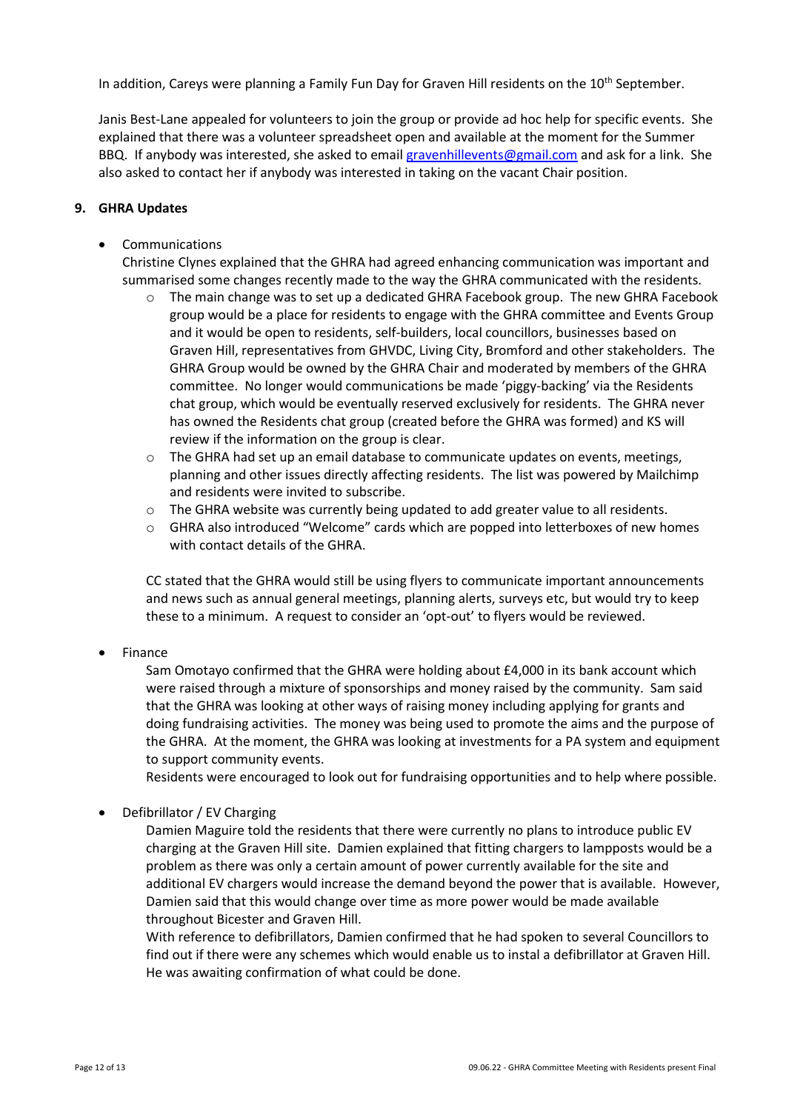In addition, Careys were planning a Family Fun Day for Graven Hill residents on the 10<sup>th</sup> September.

Janis Best-Lane appealed for volunteers to join the group or provide ad hoc help for specific events. She explained that there was a volunteer spreadsheet open and available at the moment for the Summer BBQ. If anybody was interested, she asked to email [gravenhillevents@gmail.com](about:blank) and ask for a link. She also asked to contact her if anybody was interested in taking on the vacant Chair position.

# **9. GHRA Updates**

**Communications** 

Christine Clynes explained that the GHRA had agreed enhancing communication was important and summarised some changes recently made to the way the GHRA communicated with the residents.

- $\circ$  The main change was to set up a dedicated GHRA Facebook group. The new GHRA Facebook group would be a place for residents to engage with the GHRA committee and Events Group and it would be open to residents, self-builders, local councillors, businesses based on Graven Hill, representatives from GHVDC, Living City, Bromford and other stakeholders. The GHRA Group would be owned by the GHRA Chair and moderated by members of the GHRA committee. No longer would communications be made 'piggy-backing' via the Residents chat group, which would be eventually reserved exclusively for residents. The GHRA never has owned the Residents chat group (created before the GHRA was formed) and KS will review if the information on the group is clear.
- $\circ$  The GHRA had set up an email database to communicate updates on events, meetings, planning and other issues directly affecting residents. The list was powered by Mailchimp and residents were invited to subscribe.
- $\circ$  The GHRA website was currently being updated to add greater value to all residents.
- $\circ$  GHRA also introduced "Welcome" cards which are popped into letterboxes of new homes with contact details of the GHRA.

CC stated that the GHRA would still be using flyers to communicate important announcements and news such as annual general meetings, planning alerts, surveys etc, but would try to keep these to a minimum. A request to consider an 'opt-out' to flyers would be reviewed.

• Finance

Sam Omotayo confirmed that the GHRA were holding about £4,000 in its bank account which were raised through a mixture of sponsorships and money raised by the community. Sam said that the GHRA was looking at other ways of raising money including applying for grants and doing fundraising activities. The money was being used to promote the aims and the purpose of the GHRA. At the moment, the GHRA was looking at investments for a PA system and equipment to support community events.

Residents were encouraged to look out for fundraising opportunities and to help where possible.

• Defibrillator / EV Charging

Damien Maguire told the residents that there were currently no plans to introduce public EV charging at the Graven Hill site. Damien explained that fitting chargers to lampposts would be a problem as there was only a certain amount of power currently available for the site and additional EV chargers would increase the demand beyond the power that is available. However, Damien said that this would change over time as more power would be made available throughout Bicester and Graven Hill.

With reference to defibrillators, Damien confirmed that he had spoken to several Councillors to find out if there were any schemes which would enable us to instal a defibrillator at Graven Hill. He was awaiting confirmation of what could be done.